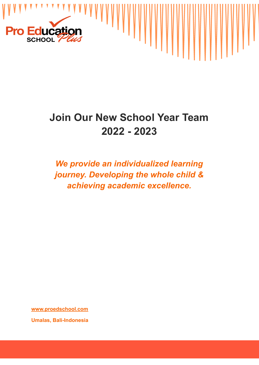

# **Join Our New School Year Team 2022 - 2023**

## *We provide an individualized learning journey. Developing the whole child & achieving academic excellence.*

**[www.proedschool.com](http://www.proedschool.com) Umalas, Bali-Indonesia**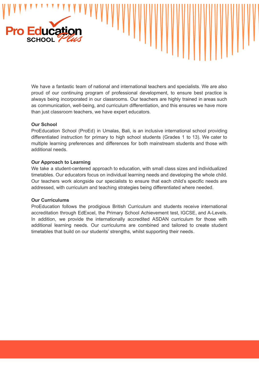

We have a fantastic team of national and international teachers and specialists. We are also proud of our continuing program of professional development, to ensure best practice is always being incorporated in our classrooms. Our teachers are highly trained in areas such as communication, well-being, and curriculum differentiation, and this ensures we have more than just classroom teachers, we have expert educators.

#### **Our School**

ProEducation School (ProEd) in Umalas, Bali, is an inclusive international school providing differentiated instruction for [primary](http://www.proedschool.com/primary-school.html) to high school [students](http://www.proedschool.com/high-school.html) (Grades 1 to 13). We cater to multiple learning [preferences](https://www.proedschool.com/towards-independence.html) and differences for both mainstream students and those with additional needs.

#### **Our Approach to Learning**

We take a student-centered approach to education, with small class sizes and individualized timetables. Our educators focus on individual learning needs and developing the whole child. Our teachers work alongside our specialists to ensure that each child's specific needs are addressed, with curriculum and teaching strategies being differentiated where needed.

#### **Our Curriculums**

ProEducation follows the prodigious British Curriculum and students receive international accreditation through EdExcel, the [Primary](https://www.proedschool.com/primary-school.html) School Achievement test, [IGCSE,](https://www.proedschool.com/high-school.html) and A-Level[s.](https://www.proedschool.com/distance-education.html) In addition, we provide the internationally accredited [ASDAN](https://www.proedschool.com/towards-independence.html) curriculum for those with additional learning needs. Our curriculums are combined and tailored to create student timetables that build on our students' strengths, whilst supporting their needs[.](https://www.proedschool.com/high-school.html)